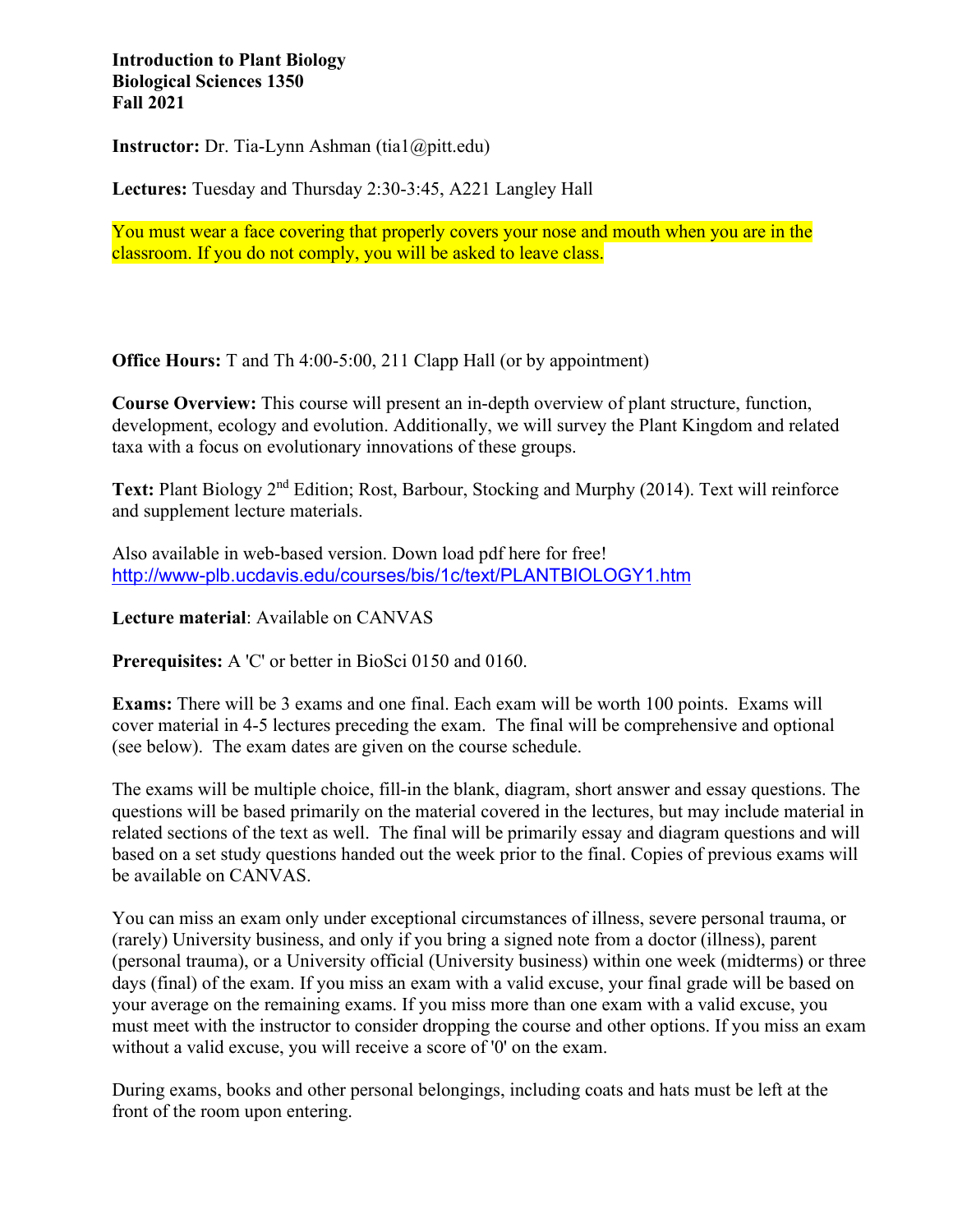#### **Introduction to Plant Biology Biological Sciences 1350 Fall 2021**

**Instructor:** Dr. Tia-Lynn Ashman (tia1@pitt.edu)

**Lectures:** Tuesday and Thursday 2:30-3:45, A221 Langley Hall

You must wear a face covering that properly covers your nose and mouth when you are in the classroom. If you do not comply, you will be asked to leave class.

**Office Hours:** T and Th 4:00-5:00, 211 Clapp Hall (or by appointment)

**Course Overview:** This course will present an in-depth overview of plant structure, function, development, ecology and evolution. Additionally, we will survey the Plant Kingdom and related taxa with a focus on evolutionary innovations of these groups.

Text: Plant Biology 2<sup>nd</sup> Edition; Rost, Barbour, Stocking and Murphy (2014). Text will reinforce and supplement lecture materials.

Also available in web-based version. Down load pdf here for free! <http://www-plb.ucdavis.edu/courses/bis/1c/text/PLANTBIOLOGY1.htm>

**Lecture material**: Available on CANVAS

**Prerequisites:** A 'C' or better in BioSci 0150 and 0160.

**Exams:** There will be 3 exams and one final. Each exam will be worth 100 points. Exams will cover material in 4-5 lectures preceding the exam. The final will be comprehensive and optional (see below). The exam dates are given on the course schedule.

The exams will be multiple choice, fill-in the blank, diagram, short answer and essay questions. The questions will be based primarily on the material covered in the lectures, but may include material in related sections of the text as well. The final will be primarily essay and diagram questions and will based on a set study questions handed out the week prior to the final. Copies of previous exams will be available on CANVAS.

You can miss an exam only under exceptional circumstances of illness, severe personal trauma, or (rarely) University business, and only if you bring a signed note from a doctor (illness), parent (personal trauma), or a University official (University business) within one week (midterms) or three days (final) of the exam. If you miss an exam with a valid excuse, your final grade will be based on your average on the remaining exams. If you miss more than one exam with a valid excuse, you must meet with the instructor to consider dropping the course and other options. If you miss an exam without a valid excuse, you will receive a score of '0' on the exam.

During exams, books and other personal belongings, including coats and hats must be left at the front of the room upon entering.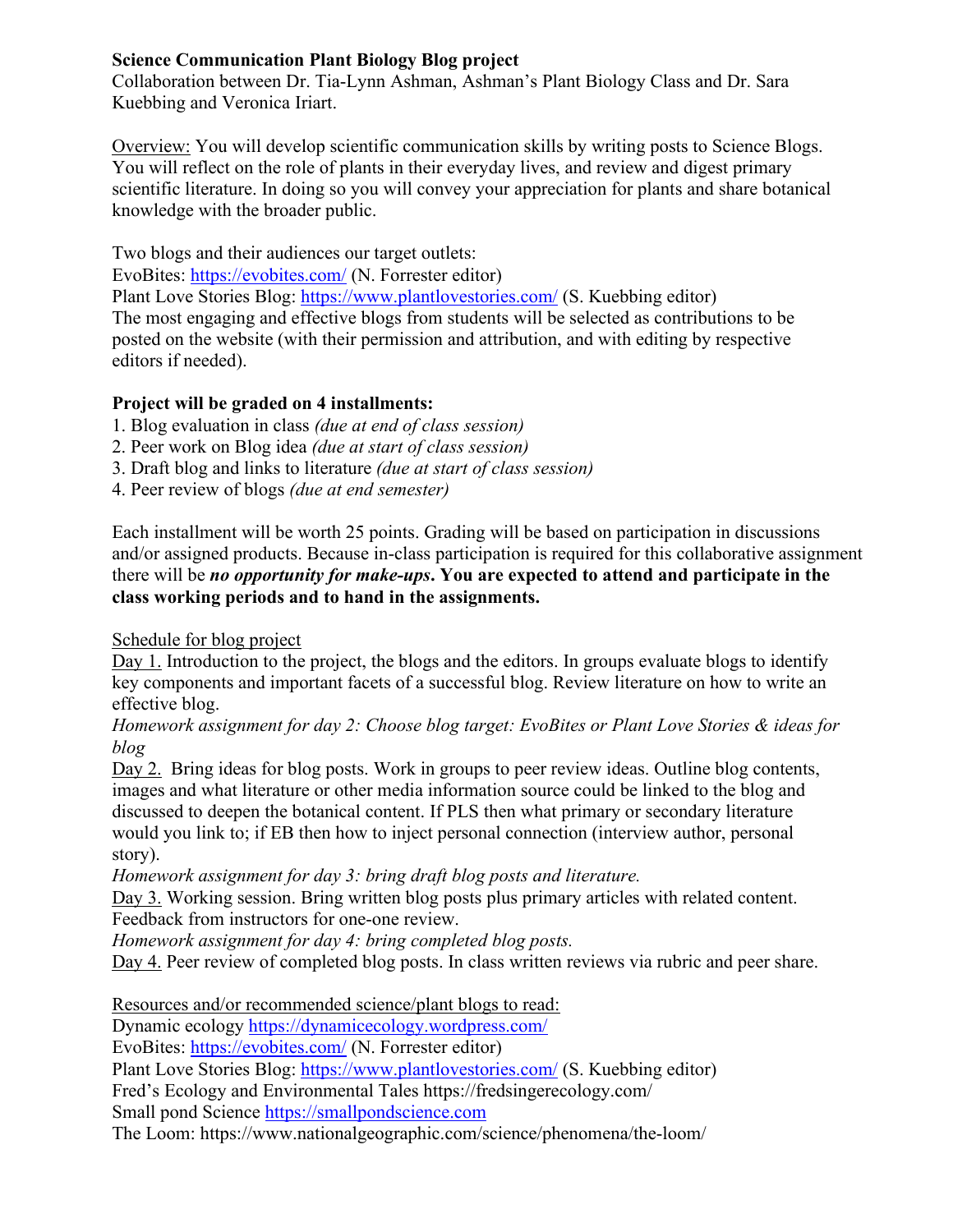### **Science Communication Plant Biology Blog project**

Collaboration between Dr. Tia-Lynn Ashman, Ashman's Plant Biology Class and Dr. Sara Kuebbing and Veronica Iriart.

Overview: You will develop scientific communication skills by writing posts to Science Blogs. You will reflect on the role of plants in their everyday lives, and review and digest primary scientific literature. In doing so you will convey your appreciation for plants and share botanical knowledge with the broader public.

Two blogs and their audiences our target outlets:

EvoBites:<https://evobites.com/> (N. Forrester editor)

Plant Love Stories Blog:<https://www.plantlovestories.com/>(S. Kuebbing editor) The most engaging and effective blogs from students will be selected as contributions to be posted on the website (with their permission and attribution, and with editing by respective editors if needed).

# **Project will be graded on 4 installments:**

1. Blog evaluation in class *(due at end of class session)*

- 2. Peer work on Blog idea *(due at start of class session)*
- 3. Draft blog and links to literature *(due at start of class session)*
- 4. Peer review of blogs *(due at end semester)*

Each installment will be worth 25 points. Grading will be based on participation in discussions and/or assigned products. Because in-class participation is required for this collaborative assignment there will be *no opportunity for make-ups***. You are expected to attend and participate in the class working periods and to hand in the assignments.**

Schedule for blog project

Day 1. Introduction to the project, the blogs and the editors. In groups evaluate blogs to identify key components and important facets of a successful blog. Review literature on how to write an effective blog.

*Homework assignment for day 2: Choose blog target: EvoBites or Plant Love Stories & ideas for blog* 

Day 2. Bring ideas for blog posts. Work in groups to peer review ideas. Outline blog contents, images and what literature or other media information source could be linked to the blog and discussed to deepen the botanical content. If PLS then what primary or secondary literature would you link to; if EB then how to inject personal connection (interview author, personal story).

*Homework assignment for day 3: bring draft blog posts and literature.* 

Day 3. Working session. Bring written blog posts plus primary articles with related content. Feedback from instructors for one-one review.

*Homework assignment for day 4: bring completed blog posts.* 

Day 4. Peer review of completed blog posts. In class written reviews via rubric and peer share.

Resources and/or recommended science/plant blogs to read:

Dynamic ecology<https://dynamicecology.wordpress.com/>

EvoBites:<https://evobites.com/> (N. Forrester editor)

Plant Love Stories Blog:<https://www.plantlovestories.com/>(S. Kuebbing editor)

Fred's Ecology and Environmental Tales https://fredsingerecology.com/

Small pond Science [https://smallpondscience.com](https://smallpondscience.com/)

The Loom: https://www.nationalgeographic.com/science/phenomena/the-loom/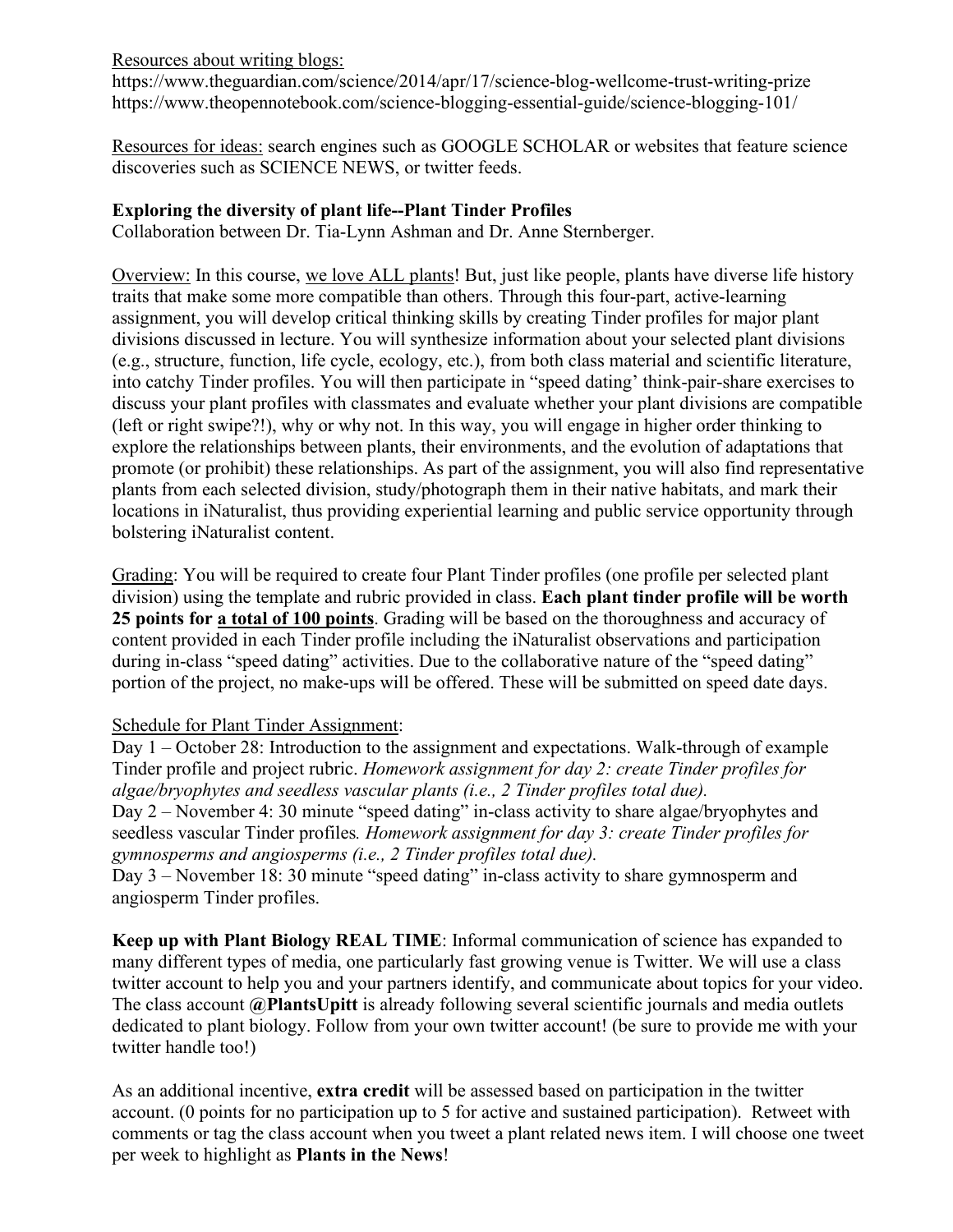Resources about writing blogs:

https://www.theguardian.com/science/2014/apr/17/science-blog-wellcome-trust-writing-prize https://www.theopennotebook.com/science-blogging-essential-guide/science-blogging-101/

Resources for ideas: search engines such as GOOGLE SCHOLAR or websites that feature science discoveries such as SCIENCE NEWS, or twitter feeds.

## **Exploring the diversity of plant life--Plant Tinder Profiles**

Collaboration between Dr. Tia-Lynn Ashman and Dr. Anne Sternberger.

Overview: In this course, we love ALL plants! But, just like people, plants have diverse life history traits that make some more compatible than others. Through this four-part, active-learning assignment, you will develop critical thinking skills by creating Tinder profiles for major plant divisions discussed in lecture. You will synthesize information about your selected plant divisions (e.g., structure, function, life cycle, ecology, etc.), from both class material and scientific literature, into catchy Tinder profiles. You will then participate in "speed dating' think-pair-share exercises to discuss your plant profiles with classmates and evaluate whether your plant divisions are compatible (left or right swipe?!), why or why not. In this way, you will engage in higher order thinking to explore the relationships between plants, their environments, and the evolution of adaptations that promote (or prohibit) these relationships. As part of the assignment, you will also find representative plants from each selected division, study/photograph them in their native habitats, and mark their locations in iNaturalist, thus providing experiential learning and public service opportunity through bolstering iNaturalist content.

Grading: You will be required to create four Plant Tinder profiles (one profile per selected plant division) using the template and rubric provided in class. **Each plant tinder profile will be worth 25 points for a total of 100 points**. Grading will be based on the thoroughness and accuracy of content provided in each Tinder profile including the iNaturalist observations and participation during in-class "speed dating" activities. Due to the collaborative nature of the "speed dating" portion of the project, no make-ups will be offered. These will be submitted on speed date days.

# Schedule for Plant Tinder Assignment:

Day 1 – October 28: Introduction to the assignment and expectations. Walk-through of example Tinder profile and project rubric. *Homework assignment for day 2: create Tinder profiles for algae/bryophytes and seedless vascular plants (i.e., 2 Tinder profiles total due).* Day 2 – November 4: 30 minute "speed dating" in-class activity to share algae/bryophytes and seedless vascular Tinder profiles*. Homework assignment for day 3: create Tinder profiles for gymnosperms and angiosperms (i.e., 2 Tinder profiles total due).* Day 3 – November 18: 30 minute "speed dating" in-class activity to share gymnosperm and

angiosperm Tinder profiles.

**Keep up with Plant Biology REAL TIME**: Informal communication of science has expanded to many different types of media, one particularly fast growing venue is Twitter. We will use a class twitter account to help you and your partners identify, and communicate about topics for your video. The class account **@PlantsUpitt** is already following several scientific journals and media outlets dedicated to plant biology. Follow from your own twitter account! (be sure to provide me with your twitter handle too!)

As an additional incentive, **extra credit** will be assessed based on participation in the twitter account. (0 points for no participation up to 5 for active and sustained participation). Retweet with comments or tag the class account when you tweet a plant related news item. I will choose one tweet per week to highlight as **Plants in the News**!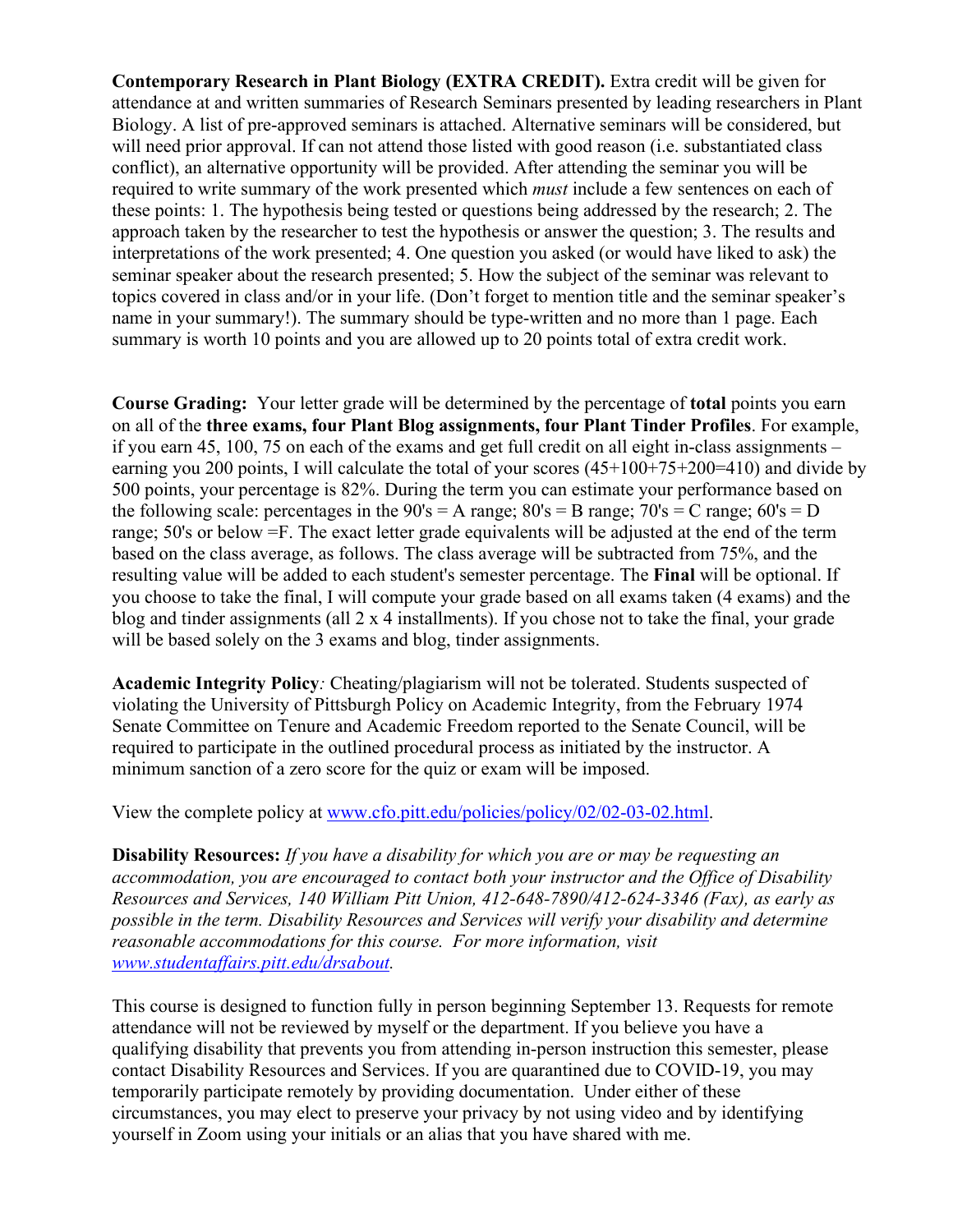**Contemporary Research in Plant Biology (EXTRA CREDIT).** Extra credit will be given for attendance at and written summaries of Research Seminars presented by leading researchers in Plant Biology. A list of pre-approved seminars is attached. Alternative seminars will be considered, but will need prior approval. If can not attend those listed with good reason (i.e. substantiated class conflict), an alternative opportunity will be provided. After attending the seminar you will be required to write summary of the work presented which *must* include a few sentences on each of these points: 1. The hypothesis being tested or questions being addressed by the research; 2. The approach taken by the researcher to test the hypothesis or answer the question; 3. The results and interpretations of the work presented; 4. One question you asked (or would have liked to ask) the seminar speaker about the research presented; 5. How the subject of the seminar was relevant to topics covered in class and/or in your life. (Don't forget to mention title and the seminar speaker's name in your summary!). The summary should be type-written and no more than 1 page. Each summary is worth 10 points and you are allowed up to 20 points total of extra credit work.

**Course Grading:** Your letter grade will be determined by the percentage of **total** points you earn on all of the **three exams, four Plant Blog assignments, four Plant Tinder Profiles**. For example, if you earn 45, 100, 75 on each of the exams and get full credit on all eight in-class assignments – earning you 200 points, I will calculate the total of your scores (45+100+75+200=410) and divide by 500 points, your percentage is 82%. During the term you can estimate your performance based on the following scale: percentages in the  $90's = A$  range;  $80's = B$  range;  $70's = C$  range;  $60's = D$ range; 50's or below =F. The exact letter grade equivalents will be adjusted at the end of the term based on the class average, as follows. The class average will be subtracted from 75%, and the resulting value will be added to each student's semester percentage. The **Final** will be optional. If you choose to take the final, I will compute your grade based on all exams taken (4 exams) and the blog and tinder assignments (all 2 x 4 installments). If you chose not to take the final, your grade will be based solely on the 3 exams and blog, tinder assignments.

**Academic Integrity Policy***:* Cheating/plagiarism will not be tolerated. Students suspected of violating the University of Pittsburgh Policy on Academic Integrity, from the February 1974 Senate Committee on Tenure and Academic Freedom reported to the Senate Council, will be required to participate in the outlined procedural process as initiated by the instructor. A minimum sanction of a zero score for the quiz or exam will be imposed.

View the complete policy at [www.cfo.pitt.edu/policies/policy/02/02-03-02.html.](http://www.cfo.pitt.edu/policies/policy/02/02-03-02.html)

**Disability Resources:** *If you have a disability for which you are or may be requesting an accommodation, you are encouraged to contact both your instructor and the Office of Disability Resources and Services, 140 William Pitt Union, 412-648-7890/412-624-3346 (Fax), as early as possible in the term. Disability Resources and Services will verify your disability and determine reasonable accommodations for this course. For more information, visit [www.studentaffairs.pitt.edu/drsabout.](http://www.studentaffairs.pitt.edu/drsabout)*

This course is designed to function fully in person beginning September 13. Requests for remote attendance will not be reviewed by myself or the department. If you believe you have a qualifying disability that prevents you from attending in-person instruction this semester, please contact Disability Resources and Services. If you are quarantined due to COVID-19, you may temporarily participate remotely by providing documentation. Under either of these circumstances, you may elect to preserve your privacy by not using video and by identifying yourself in Zoom using your initials or an alias that you have shared with me.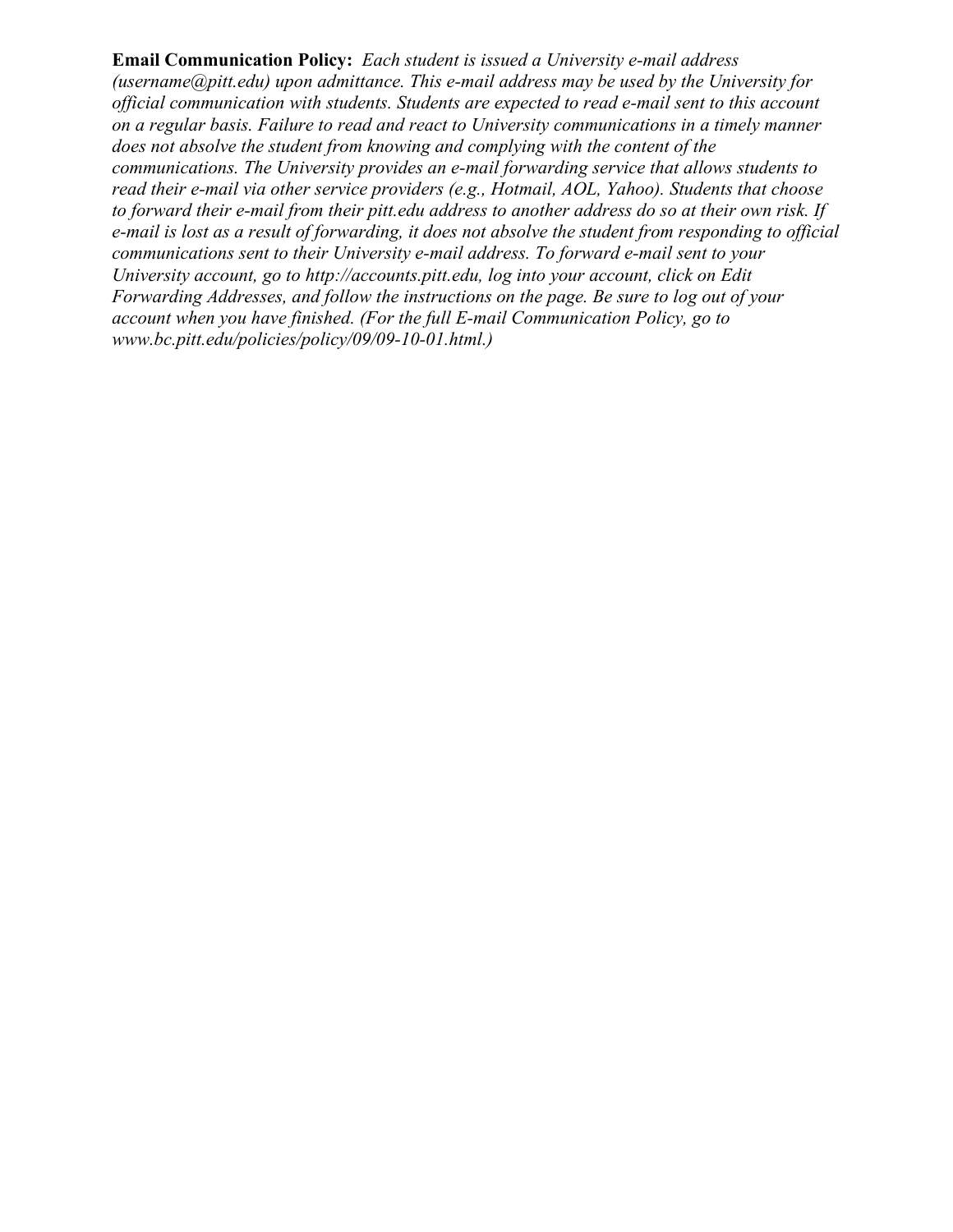**Email Communication Policy:** *Each student is issued a University e-mail address (username@pitt.edu) upon admittance. This e-mail address may be used by the University for official communication with students. Students are expected to read e-mail sent to this account on a regular basis. Failure to read and react to University communications in a timely manner does not absolve the student from knowing and complying with the content of the communications. The University provides an e-mail forwarding service that allows students to read their e-mail via other service providers (e.g., Hotmail, AOL, Yahoo). Students that choose to forward their e-mail from their pitt.edu address to another address do so at their own risk. If e-mail is lost as a result of forwarding, it does not absolve the student from responding to official communications sent to their University e-mail address. To forward e-mail sent to your University account, go to http://accounts.pitt.edu, log into your account, click on Edit Forwarding Addresses, and follow the instructions on the page. Be sure to log out of your account when you have finished. (For the full E-mail Communication Policy, go to www.bc.pitt.edu/policies/policy/09/09-10-01.html.)*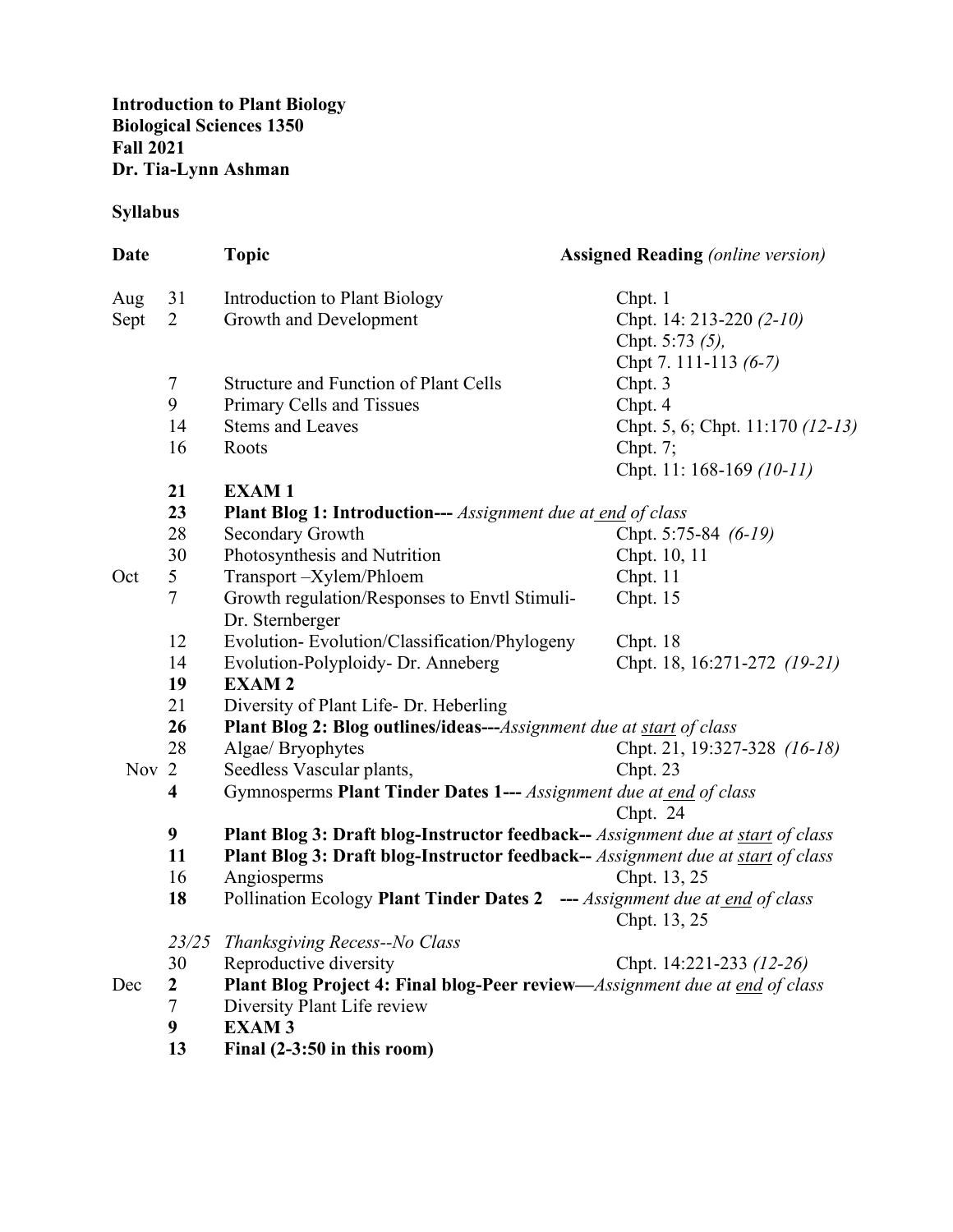### **Syllabus**

| Date  |                | <b>Topic</b>                                                                    | <b>Assigned Reading (online version)</b> |  |
|-------|----------------|---------------------------------------------------------------------------------|------------------------------------------|--|
| Aug   | 31             | Introduction to Plant Biology                                                   | Chpt. 1                                  |  |
| Sept  | 2              | Growth and Development                                                          | Chpt. 14: 213-220 (2-10)                 |  |
|       |                |                                                                                 | Chpt. 5:73 (5),                          |  |
|       |                |                                                                                 | Chpt 7. 111-113 (6-7)                    |  |
|       | 7              | <b>Structure and Function of Plant Cells</b>                                    | Chpt. 3                                  |  |
|       | 9              | Primary Cells and Tissues                                                       | Chpt. 4                                  |  |
|       | 14             | <b>Stems and Leaves</b>                                                         | Chpt. 5, 6; Chpt. 11:170 (12-13)         |  |
|       | 16             | Roots                                                                           | Chpt. $7$ ;                              |  |
|       |                |                                                                                 | Chpt. 11: 168-169 (10-11)                |  |
|       | 21             | <b>EXAM1</b>                                                                    |                                          |  |
|       | 23             | <b>Plant Blog 1: Introduction---</b> Assignment due at end of class             |                                          |  |
|       | 28             | Secondary Growth                                                                | Chpt. 5:75-84 (6-19)                     |  |
|       | 30             | Photosynthesis and Nutrition                                                    | Chpt. 10, 11                             |  |
| Oct   | 5              | Transport-Xylem/Phloem                                                          | Chpt. 11                                 |  |
|       | 7              | Growth regulation/Responses to Envtl Stimuli-<br>Dr. Sternberger                | Chpt. 15                                 |  |
|       | 12             | Evolution-Evolution/Classification/Phylogeny                                    | Chpt. 18                                 |  |
|       | 14             | Evolution-Polyploidy- Dr. Anneberg                                              | Chpt. 18, 16:271-272 (19-21)             |  |
|       | 19             | <b>EXAM2</b>                                                                    |                                          |  |
|       | 21             | Diversity of Plant Life- Dr. Heberling                                          |                                          |  |
|       | 26             | <b>Plant Blog 2: Blog outlines/ideas---</b> Assignment due at start of class    |                                          |  |
|       | 28             | Algae/ Bryophytes                                                               | Chpt. 21, 19:327-328 (16-18)             |  |
| Nov 2 |                | Seedless Vascular plants,                                                       | Chpt. 23                                 |  |
|       | 4              | Gymnosperms Plant Tinder Dates 1--- Assignment due at end of class              |                                          |  |
|       |                |                                                                                 | Chpt. 24                                 |  |
|       | 9              | Plant Blog 3: Draft blog-Instructor feedback-- Assignment due at start of class |                                          |  |
|       | 11             | Plant Blog 3: Draft blog-Instructor feedback-- Assignment due at start of class |                                          |  |
|       | 16             | Angiosperms                                                                     | Chpt. 13, 25                             |  |
|       | 18             | Pollination Ecology Plant Tinder Dates 2 --- Assignment due at end of class     | Chpt. 13, 25                             |  |
|       | 23/25          | Thanksgiving Recess--No Class                                                   |                                          |  |
|       | 30             | Reproductive diversity                                                          | Chpt. 14:221-233 (12-26)                 |  |
| Dec   | 2              | Plant Blog Project 4: Final blog-Peer review—Assignment due at end of class     |                                          |  |
|       | $\overline{7}$ | Diversity Plant Life review                                                     |                                          |  |
|       | 9              | <b>EXAM3</b>                                                                    |                                          |  |
|       | 13             | Final $(2-3:50$ in this room)                                                   |                                          |  |